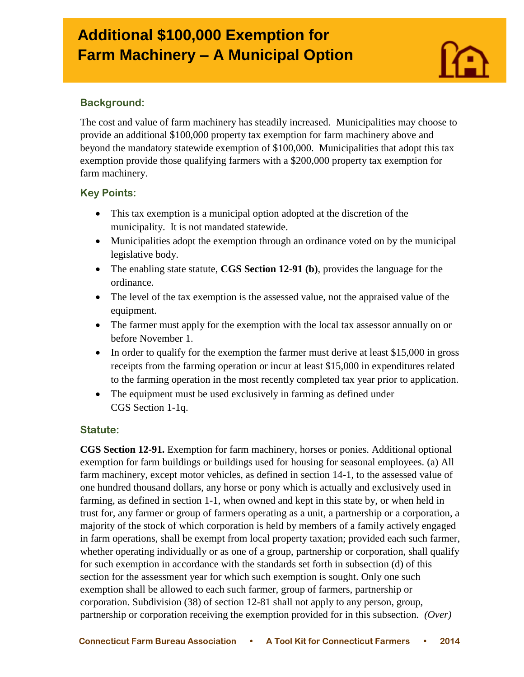# **Additional \$100,000 Exemption for Farm Machinery – A Municipal Option**



### **Background:**

I

The cost and value of farm machinery has steadily increased. Municipalities may choose to provide an additional \$100,000 property tax exemption for farm machinery above and beyond the mandatory statewide exemption of \$100,000. Municipalities that adopt this tax exemption provide those qualifying farmers with a \$200,000 property tax exemption for farm machinery.

## **Key Points:**

- This tax exemption is a municipal option adopted at the discretion of the municipality. It is not mandated statewide.
- Municipalities adopt the exemption through an ordinance voted on by the municipal legislative body.
- The enabling state statute, **CGS Section 12-91 (b)**, provides the language for the ordinance.
- The level of the tax exemption is the assessed value, not the appraised value of the equipment.
- The farmer must apply for the exemption with the local tax assessor annually on or before November 1.
- In order to qualify for the exemption the farmer must derive at least \$15,000 in gross receipts from the farming operation or incur at least \$15,000 in expenditures related to the farming operation in the most recently completed tax year prior to application.
- The equipment must be used exclusively in farming as defined under CGS Section 1-1q.

#### **Statute:**

**CGS Section 12-91.** Exemption for farm machinery, horses or ponies. Additional optional exemption for farm buildings or buildings used for housing for seasonal employees. (a) All farm machinery, except motor vehicles, as defined in section 14-1, to the assessed value of one hundred thousand dollars, any horse or pony which is actually and exclusively used in farming, as defined in section 1-1, when owned and kept in this state by, or when held in trust for, any farmer or group of farmers operating as a unit, a partnership or a corporation, a majority of the stock of which corporation is held by members of a family actively engaged in farm operations, shall be exempt from local property taxation; provided each such farmer, whether operating individually or as one of a group, partnership or corporation, shall qualify for such exemption in accordance with the standards set forth in subsection (d) of this section for the assessment year for which such exemption is sought. Only one such exemption shall be allowed to each such farmer, group of farmers, partnership or corporation. Subdivision (38) of section 12-81 shall not apply to any person, group, partnership or corporation receiving the exemption provided for in this subsection. *(Over)*